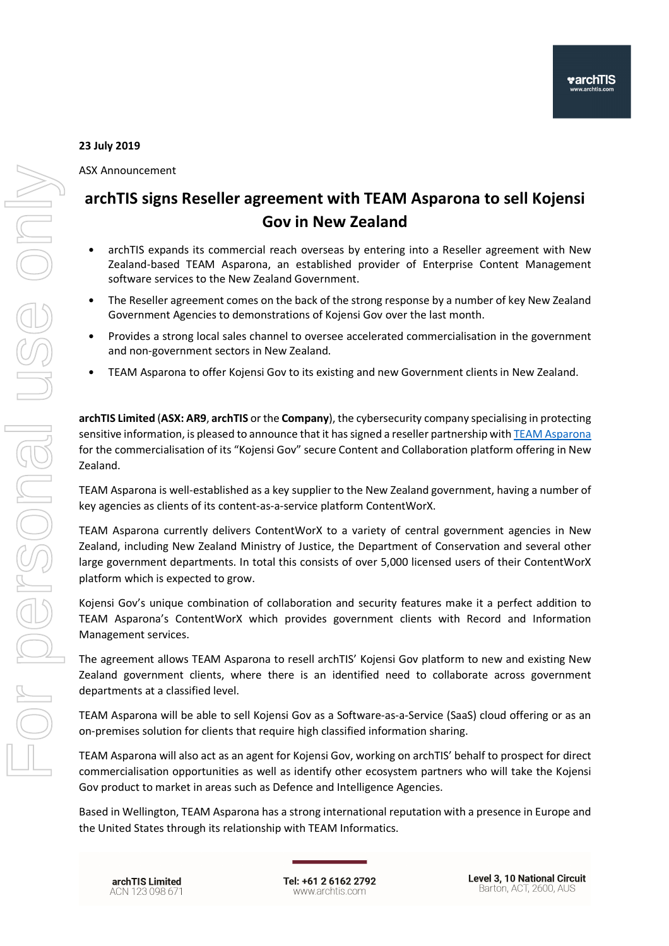## 23 July 2019

ASX Announcement

## archTIS signs Reseller agreement with TEAM Asparona to sell Kojensi Gov in New Zealand

- archTIS expands its commercial reach overseas by entering into a Reseller agreement with New Zealand-based TEAM Asparona, an established provider of Enterprise Content Management software services to the New Zealand Government.
- The Reseller agreement comes on the back of the strong response by a number of key New Zealand Government Agencies to demonstrations of Kojensi Gov over the last month.
- Provides a strong local sales channel to oversee accelerated commercialisation in the government and non-government sectors in New Zealand.
- TEAM Asparona to offer Kojensi Gov to its existing and new Government clients in New Zealand.

archTIS Limited (ASX: AR9, archTIS or the Company), the cybersecurity company specialising in protecting sensitive information, is pleased to announce that it has signed a reseller partnership with TEAM Asparona for the commercialisation of its "Kojensi Gov" secure Content and Collaboration platform offering in New Zealand.

TEAM Asparona is well-established as a key supplier to the New Zealand government, having a number of key agencies as clients of its content-as-a-service platform ContentWorX.

TEAM Asparona currently delivers ContentWorX to a variety of central government agencies in New Zealand, including New Zealand Ministry of Justice, the Department of Conservation and several other large government departments. In total this consists of over 5,000 licensed users of their ContentWorX platform which is expected to grow.

Kojensi Gov's unique combination of collaboration and security features make it a perfect addition to TEAM Asparona's ContentWorX which provides government clients with Record and Information Management services.

The agreement allows TEAM Asparona to resell archTIS' Kojensi Gov platform to new and existing New Zealand government clients, where there is an identified need to collaborate across government departments at a classified level.

TEAM Asparona will be able to sell Kojensi Gov as a Software-as-a-Service (SaaS) cloud offering or as an on-premises solution for clients that require high classified information sharing.

TEAM Asparona will also act as an agent for Kojensi Gov, working on archTIS' behalf to prospect for direct commercialisation opportunities as well as identify other ecosystem partners who will take the Kojensi Gov product to market in areas such as Defence and Intelligence Agencies.

Based in Wellington, TEAM Asparona has a strong international reputation with a presence in Europe and the United States through its relationship with TEAM Informatics.

archTIS Limited ACN 123 098 671 Tel: +61 2 6162 2792 www.archtis.com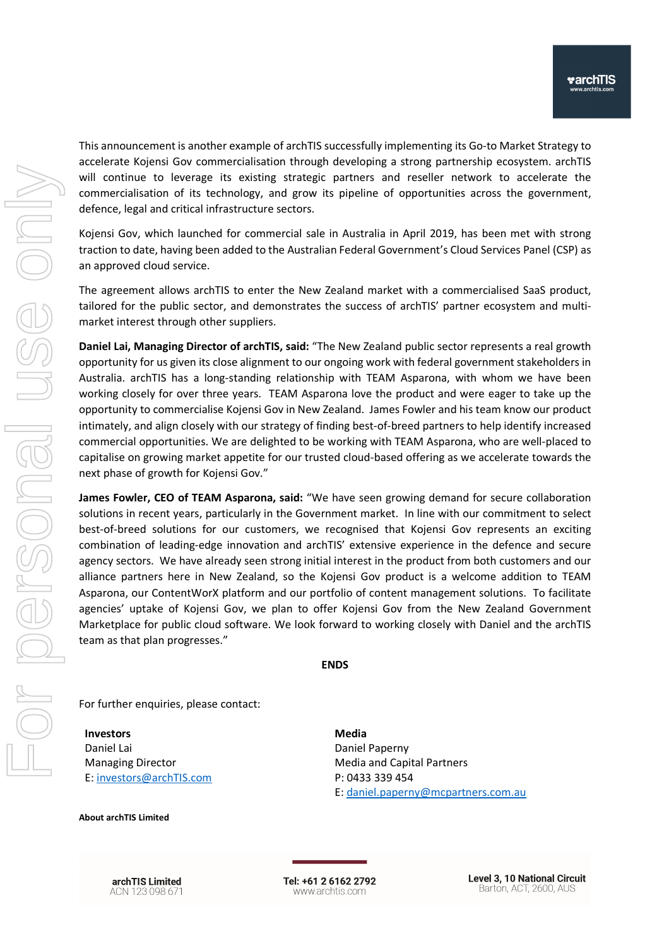This announcement is another example of archTIS successfully implementing its Go-to Market Strategy to accelerate Kojensi Gov commercialisation through developing a strong partnership ecosystem. archTIS will continue to leverage its existing strategic partners and reseller network to accelerate the commercialisation of its technology, and grow its pipeline of opportunities across the government, defence, legal and critical infrastructure sectors.

Kojensi Gov, which launched for commercial sale in Australia in April 2019, has been met with strong traction to date, having been added to the Australian Federal Government's Cloud Services Panel (CSP) as an approved cloud service.

The agreement allows archTIS to enter the New Zealand market with a commercialised SaaS product, tailored for the public sector, and demonstrates the success of archTIS' partner ecosystem and multimarket interest through other suppliers.

Daniel Lai, Managing Director of archTIS, said: "The New Zealand public sector represents a real growth opportunity for us given its close alignment to our ongoing work with federal government stakeholders in Australia. archTIS has a long-standing relationship with TEAM Asparona, with whom we have been working closely for over three years. TEAM Asparona love the product and were eager to take up the opportunity to commercialise Kojensi Gov in New Zealand. James Fowler and his team know our product intimately, and align closely with our strategy of finding best-of-breed partners to help identify increased commercial opportunities. We are delighted to be working with TEAM Asparona, who are well-placed to capitalise on growing market appetite for our trusted cloud-based offering as we accelerate towards the next phase of growth for Kojensi Gov."

James Fowler, CEO of TEAM Asparona, said: "We have seen growing demand for secure collaboration solutions in recent years, particularly in the Government market. In line with our commitment to select best-of-breed solutions for our customers, we recognised that Kojensi Gov represents an exciting combination of leading-edge innovation and archTIS' extensive experience in the defence and secure agency sectors. We have already seen strong initial interest in the product from both customers and our alliance partners here in New Zealand, so the Kojensi Gov product is a welcome addition to TEAM Asparona, our ContentWorX platform and our portfolio of content management solutions. To facilitate agencies' uptake of Kojensi Gov, we plan to offer Kojensi Gov from the New Zealand Government Marketplace for public cloud software. We look forward to working closely with Daniel and the archTIS team as that plan progresses."

ENDS

For further enquiries, please contact:

Investors Daniel Lai Managing Director E: investors@archTIS.com Media Daniel Paperny Media and Capital Partners P: 0433 339 454 E: daniel.paperny@mcpartners.com.au

About archTIS Limited

archTIS Limited ACN 123 098 671

Tel: +61 2 6162 2792 www.archtis.com

**Level 3, 10 National Circuit** Barton, ACT, 2600, AUS